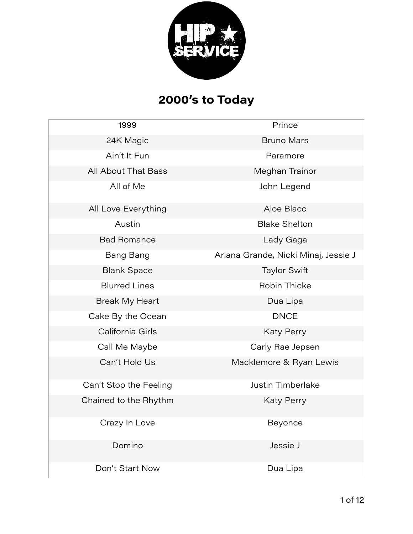

# **2000's to Today**

| 1999                   | Prince                               |
|------------------------|--------------------------------------|
| 24K Magic              | <b>Bruno Mars</b>                    |
| Ain't It Fun           | Paramore                             |
| All About That Bass    | Meghan Trainor                       |
| All of Me              | John Legend                          |
| All Love Everything    | Aloe Blacc                           |
| Austin                 | <b>Blake Shelton</b>                 |
| <b>Bad Romance</b>     | Lady Gaga                            |
| <b>Bang Bang</b>       | Ariana Grande, Nicki Minaj, Jessie J |
| <b>Blank Space</b>     | <b>Taylor Swift</b>                  |
| <b>Blurred Lines</b>   | Robin Thicke                         |
| <b>Break My Heart</b>  | Dua Lipa                             |
| Cake By the Ocean      | <b>DNCE</b>                          |
| California Girls       | <b>Katy Perry</b>                    |
| Call Me Maybe          | Carly Rae Jepsen                     |
| Can't Hold Us          | Macklemore & Ryan Lewis              |
| Can't Stop the Feeling | <b>Justin Timberlake</b>             |
| Chained to the Rhythm  | <b>Katy Perry</b>                    |
| Crazy In Love          | Beyonce                              |
| Domino                 | Jessie J                             |
| Don't Start Now        | Dua Lipa                             |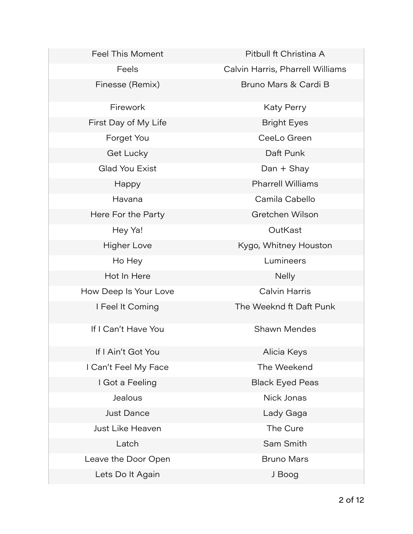Feel This Moment **Pitbull ft Christina A** Finesse (Remix) Bruno Mars & Cardi B Firework **Katy Perry** Katy Perry First Day of My Life Bright Eyes Forget You **CeeLo Green** Get Lucky **Daft Punk** Glad You Exist **Dan + Shay** Happy **Pharrell Williams** Havana Camila Cabello Here For the Party **Gretchen Wilson** Hey Ya! CutKast Higher Love **Kygo, Whitney Houston** Ho Hey Lumineers Hot In Here Nelly How Deep Is Your Love Calvin Harris I Feel It Coming The Weeknd ft Daft Punk If I Can't Have You **Shawn Mendes** If I Ain't Got You **Alicia Keys** I Can't Feel My Face The Weekend I Got a Feeling Black Eyed Peas Jealous **Nick Jonas** Just Dance **Lady Gaga** Just Like Heaven **The Cure** Latch **Sam Smith** Leave the Door Open **Bruno Mars** Lets Do It Again **J** Boog

Feels **Calvin Harris, Pharrell Williams**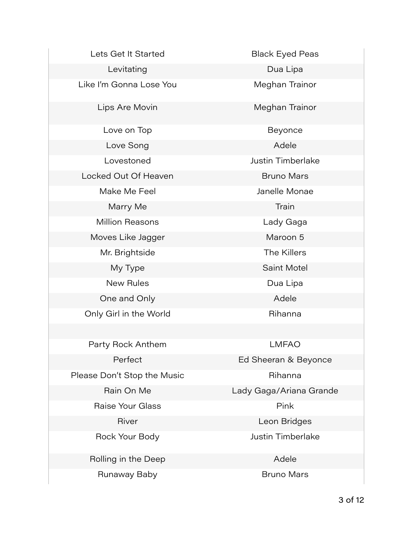Lets Get It Started Black Eyed Peas

Levitating **Dua Lipa** 

Like I'm Gonna Lose You **Meghan Trainor** 

Love on Top **Beyonce** 

Love Song **Adele** Adele

Locked Out Of Heaven **Bruno Mars** 

Marry Me Train

Million Reasons Lady Gaga

Moves Like Jagger Maroon 5

Mr. Brightside The Killers

One and Only **Adele** Adele

Only Girl in the World **Rihanna** 

Party Rock Anthem **LMFAO** 

Please Don't Stop the Music **Rihanna** 

Raise Your Glass **Pink** 

Rolling in the Deep Adele

Runaway Baby **Bruno Mars** Bruno Mars

Lips Are Movin **Meghan Trainor** 

Lovestoned Justin Timberlake

Make Me Feel **Access 10 Make Monae** 

My Type Saint Motel

New Rules **Dua Lipa** 

Perfect **Ed Sheeran & Beyonce** 

Rain On Me Lady Gaga/Ariana Grande

River **River Executes Leon Bridges** 

Rock Your Body **Access 10 Figure 10** Justin Timberlake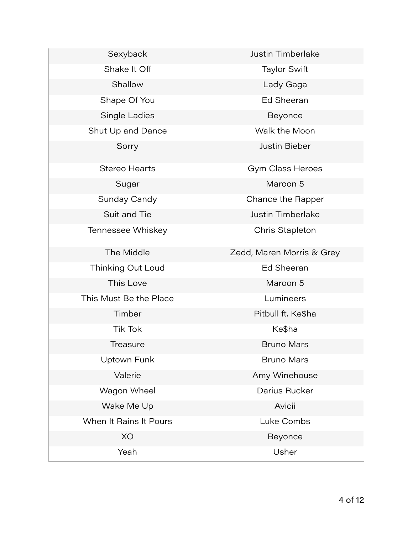| Sexyback               | <b>Justin Timberlake</b>  |
|------------------------|---------------------------|
| Shake It Off           | <b>Taylor Swift</b>       |
| Shallow                | Lady Gaga                 |
| Shape Of You           | <b>Ed Sheeran</b>         |
| Single Ladies          | Beyonce                   |
| Shut Up and Dance      | Walk the Moon             |
| Sorry                  | <b>Justin Bieber</b>      |
| <b>Stereo Hearts</b>   | Gym Class Heroes          |
| Sugar                  | Maroon 5                  |
| Sunday Candy           | Chance the Rapper         |
| Suit and Tie           | <b>Justin Timberlake</b>  |
| Tennessee Whiskey      | Chris Stapleton           |
| The Middle             | Zedd, Maren Morris & Grey |
| Thinking Out Loud      | <b>Ed Sheeran</b>         |
| This Love              | Maroon 5                  |
| This Must Be the Place | Lumineers                 |
| Timber                 | Pitbull ft. Ke\$ha        |
| <b>Tik Tok</b>         | Ke\$ha                    |
| Treasure               | <b>Bruno Mars</b>         |
| Uptown Funk            | <b>Bruno Mars</b>         |
| Valerie                | Amy Winehouse             |
| Wagon Wheel            | Darius Rucker             |
| Wake Me Up             | Avicii                    |
| When It Rains It Pours | Luke Combs                |
| XO                     | Beyonce                   |
| Yeah                   | Usher                     |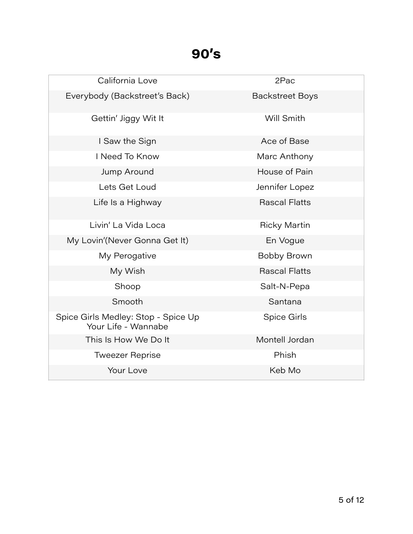### **90's**

| California Love                                            | 2Pac                   |
|------------------------------------------------------------|------------------------|
| Everybody (Backstreet's Back)                              | <b>Backstreet Boys</b> |
| Gettin' Jiggy Wit It                                       | Will Smith             |
| I Saw the Sign                                             | Ace of Base            |
| I Need To Know                                             | Marc Anthony           |
| Jump Around                                                | House of Pain          |
| Lets Get Loud                                              | Jennifer Lopez         |
| Life Is a Highway                                          | <b>Rascal Flatts</b>   |
| Livin' La Vida Loca                                        | <b>Ricky Martin</b>    |
| My Lovin'(Never Gonna Get It)                              | En Vogue               |
| My Perogative                                              | Bobby Brown            |
| My Wish                                                    | <b>Rascal Flatts</b>   |
| Shoop                                                      | Salt-N-Pepa            |
| Smooth                                                     | Santana                |
| Spice Girls Medley: Stop - Spice Up<br>Your Life - Wannabe | Spice Girls            |
| This Is How We Do It                                       | Montell Jordan         |
| <b>Tweezer Reprise</b>                                     | Phish                  |
| Your Love                                                  | Keb Mo                 |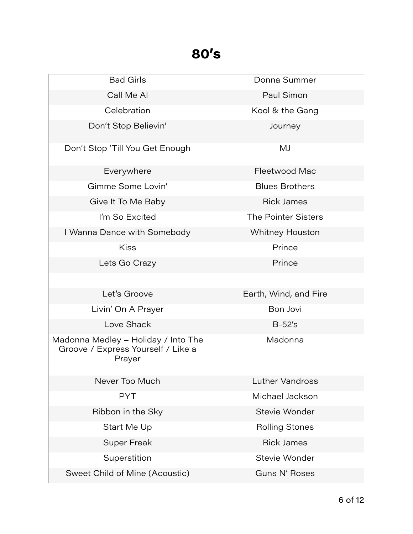### **80's**

| <b>Bad Girls</b>                                                                    | Donna Summer           |
|-------------------------------------------------------------------------------------|------------------------|
| Call Me Al                                                                          | Paul Simon             |
| Celebration                                                                         | Kool & the Gang        |
| Don't Stop Believin'                                                                | Journey                |
| Don't Stop 'Till You Get Enough                                                     | MJ                     |
| Everywhere                                                                          | Fleetwood Mac          |
| Gimme Some Lovin'                                                                   | <b>Blues Brothers</b>  |
| Give It To Me Baby                                                                  | <b>Rick James</b>      |
| I'm So Excited                                                                      | The Pointer Sisters    |
| I Wanna Dance with Somebody                                                         | <b>Whitney Houston</b> |
| <b>Kiss</b>                                                                         | Prince                 |
| Lets Go Crazy                                                                       | Prince                 |
|                                                                                     |                        |
| Let's Groove                                                                        | Earth, Wind, and Fire  |
| Livin' On A Prayer                                                                  | Bon Jovi               |
| Love Shack                                                                          | $B-52's$               |
| Madonna Medley - Holiday / Into The<br>Groove / Express Yourself / Like a<br>Prayer | Madonna                |
| Never Too Much                                                                      | <b>Luther Vandross</b> |
| <b>PYT</b>                                                                          | Michael Jackson        |
| Ribbon in the Sky                                                                   | Stevie Wonder          |
| Start Me Up                                                                         | <b>Rolling Stones</b>  |
| <b>Super Freak</b>                                                                  | <b>Rick James</b>      |
| Superstition                                                                        | Stevie Wonder          |
| Sweet Child of Mine (Acoustic)                                                      | Guns N' Roses          |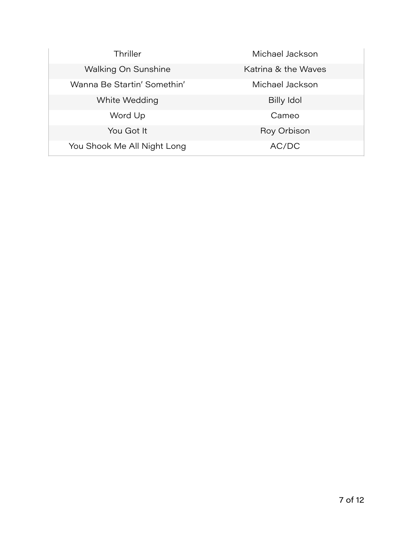| Thriller                    | Michael Jackson     |
|-----------------------------|---------------------|
| <b>Walking On Sunshine</b>  | Katrina & the Waves |
| Wanna Be Startin' Somethin' | Michael Jackson     |
| White Wedding               | Billy Idol          |
| Word Up                     | Cameo               |
| You Got It                  | Roy Orbison         |
| You Shook Me All Night Long | AC/DC               |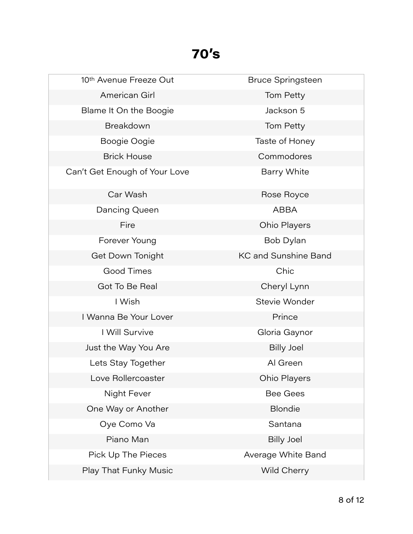# **70's**

| 10th Avenue Freeze Out        | <b>Bruce Springsteen</b>    |
|-------------------------------|-----------------------------|
| American Girl                 | Tom Petty                   |
| Blame It On the Boogie        | Jackson 5                   |
| Breakdown                     | Tom Petty                   |
| Boogie Oogie                  | Taste of Honey              |
| <b>Brick House</b>            | Commodores                  |
| Can't Get Enough of Your Love | <b>Barry White</b>          |
| Car Wash                      | Rose Royce                  |
| Dancing Queen                 | <b>ABBA</b>                 |
| Fire                          | <b>Ohio Players</b>         |
| Forever Young                 | Bob Dylan                   |
| Get Down Tonight              | <b>KC and Sunshine Band</b> |
| Good Times                    | Chic                        |
| Got To Be Real                | Cheryl Lynn                 |
| I Wish                        | Stevie Wonder               |
| I Wanna Be Your Lover         | Prince                      |
| I Will Survive                | Gloria Gaynor               |
| Just the Way You Are          | <b>Billy Joel</b>           |
| Lets Stay Together            | Al Green                    |
| Love Rollercoaster            | Ohio Players                |
| Night Fever                   | <b>Bee Gees</b>             |
| One Way or Another            | <b>Blondie</b>              |
| Oye Como Va                   | Santana                     |
| Piano Man                     | <b>Billy Joel</b>           |
| Pick Up The Pieces            | Average White Band          |
| Play That Funky Music         | Wild Cherry                 |
|                               |                             |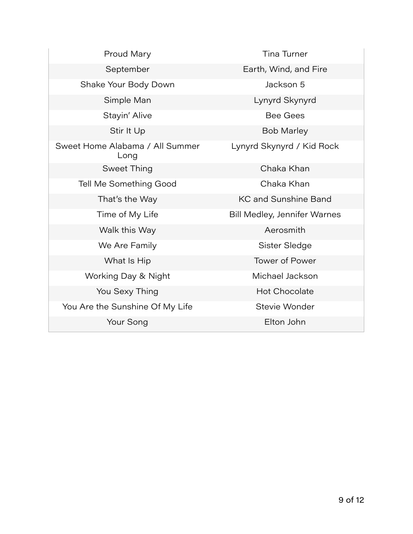| Proud Mary                              | <b>Tina Turner</b>           |
|-----------------------------------------|------------------------------|
| September                               | Earth, Wind, and Fire        |
| Shake Your Body Down                    | Jackson 5                    |
| Simple Man                              | Lynyrd Skynyrd               |
| Stayin' Alive                           | <b>Bee Gees</b>              |
| Stir It Up                              | <b>Bob Marley</b>            |
| Sweet Home Alabama / All Summer<br>Long | Lynyrd Skynyrd / Kid Rock    |
| Sweet Thing                             | Chaka Khan                   |
| Tell Me Something Good                  | Chaka Khan                   |
| That's the Way                          | <b>KC and Sunshine Band</b>  |
| Time of My Life                         | Bill Medley, Jennifer Warnes |
| Walk this Way                           | Aerosmith                    |
| We Are Family                           | Sister Sledge                |
| What Is Hip                             | <b>Tower of Power</b>        |
| Working Day & Night                     | Michael Jackson              |
| You Sexy Thing                          | <b>Hot Chocolate</b>         |
| You Are the Sunshine Of My Life         | Stevie Wonder                |
| Your Song                               | Elton John                   |

**Contract Contract**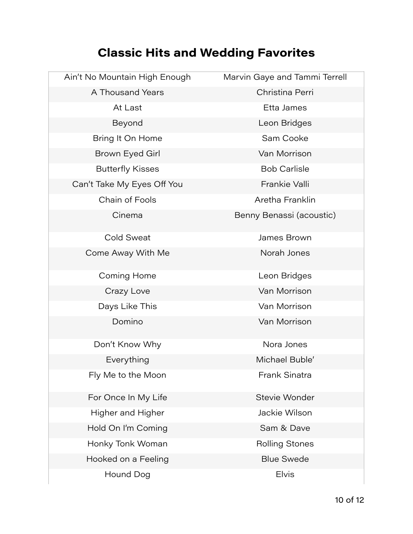### **Classic Hits and Wedding Favorites**

| Ain't No Mountain High Enough | Marvin Gaye and Tammi Terrell |
|-------------------------------|-------------------------------|
| A Thousand Years              | Christina Perri               |
| At Last                       | Etta James                    |
| Beyond                        | Leon Bridges                  |
| Bring It On Home              | Sam Cooke                     |
| Brown Eyed Girl               | Van Morrison                  |
| <b>Butterfly Kisses</b>       | <b>Bob Carlisle</b>           |
| Can't Take My Eyes Off You    | Frankie Valli                 |
| Chain of Fools                | Aretha Franklin               |
| Cinema                        | Benny Benassi (acoustic)      |
| <b>Cold Sweat</b>             | James Brown                   |
| Come Away With Me             | Norah Jones                   |
| Coming Home                   | Leon Bridges                  |
| Crazy Love                    | Van Morrison                  |
| Days Like This                | Van Morrison                  |
| Domino                        | Van Morrison                  |
| Don't Know Why                | Nora Jones                    |
| Everything                    | Michael Buble'                |
| Fly Me to the Moon            | Frank Sinatra                 |
| For Once In My Life           | Stevie Wonder                 |
| Higher and Higher             | Jackie Wilson                 |
| Hold On I'm Coming            | Sam & Dave                    |
| Honky Tonk Woman              | <b>Rolling Stones</b>         |
| Hooked on a Feeling           | <b>Blue Swede</b>             |
| Hound Dog                     | <b>Elvis</b>                  |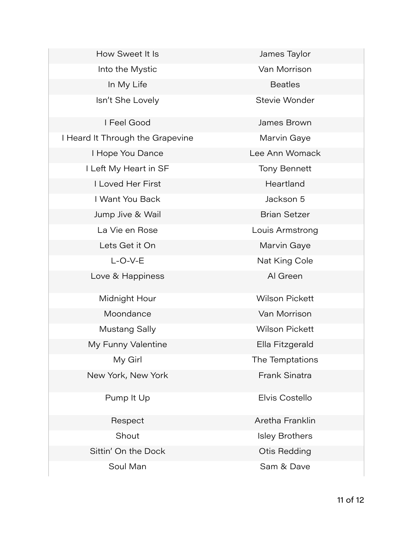How Sweet It Is **Access 12 Manual Manual American** James Taylor Into the Mystic **Van Morrison** In My Life **Beatles** Isn't She Lovely **Stevie Wonder** I Feel Good James Brown I Heard It Through the Grapevine Marvin Gaye I Hope You Dance Lee Ann Womack I Left My Heart in SF Tony Bennett **I Loved Her First Next Alleger Accord Heartland** I Want You Back **I Want You Back I Want You Back I Want I Want I Want I Want I Want I Want I Want I Want I Want I** Jump Jive & Wail Brian Setzer La Vie en Rose **Louis Armstrong** Lets Get it On **Marvin Gaye** L-O-V-E Nat King Cole Love & Happiness Al Green Midnight Hour **Wilson Pickett** Moondance Van Morrison Mustang Sally **Wilson Pickett** My Funny Valentine **Ella Fitzgerald** My Girl The Temptations New York, New York **Frank Sinatra** Pump It Up **Elvis Costello** Respect **Aretha Franklin** Shout **Isley Brothers** Sittin' On the Dock Cities Otis Redding

Soul Man Soul Man Sam & Dave